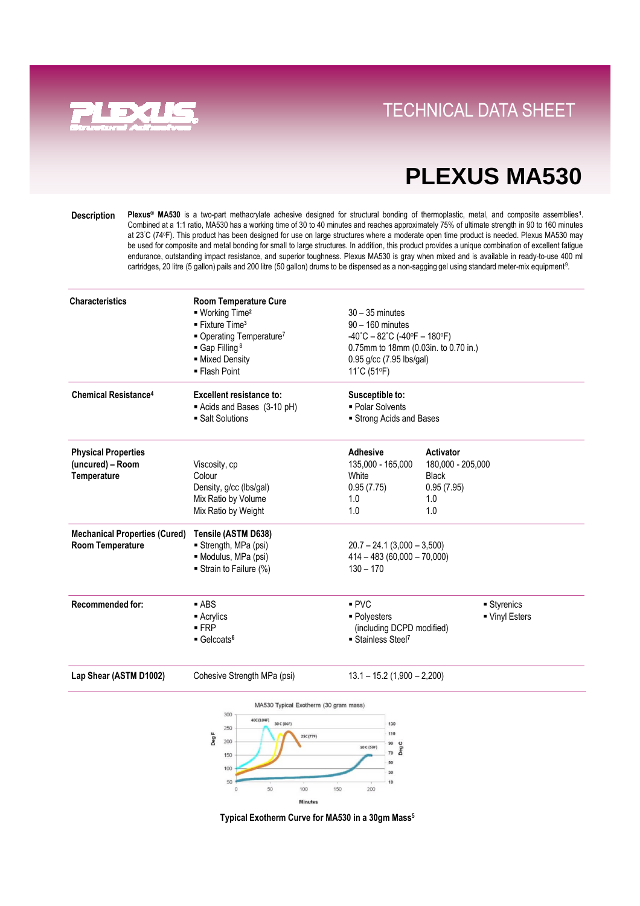

### **Direct Links Convenience With Tray System** TECHNICAL DATA SHEET

### **PLEXUS MA530**

**Plexus® MA530** is a two-part methacrylate adhesive designed for structural bonding of thermoplastic, metal, and composite assemblies**<sup>1</sup>** . Combined at a 1:1 ratio, MA530 has a working time of 30 to 40 minutes and reaches approximately 75% of ultimate strength in 90 to 160 minutes at 23˚C (74<sup>o</sup>F). This product has been designed for use on large structures where a moderate open time product is needed. Plexus MA530 may be used for composite and metal bonding for small to large structures. In addition, this product provides a unique combination of excellent fatigue endurance, outstanding impact resistance, and superior toughness. Plexus MA530 is gray when mixed and is available in ready-to-use 400 ml cartridges, 20 litre (5 gallon) pails and 200 litre (50 gallon) drums to be dispensed as a non-sagging gel using standard meter-mix equipment<sup>9</sup>. **Description**

| <b>Characteristics</b>                                                                                | <b>Room Temperature Cure</b><br>■ Working Time <sup>2</sup><br>$\blacksquare$ Fixture Time <sup>3</sup><br>Operating Temperature <sup>7</sup><br>Gap Filling <sup>8</sup><br>- Mixed Density<br>■ Flash Point | $30 - 35$ minutes<br>90 - 160 minutes<br>$-40^{\circ}$ C - 82 $^{\circ}$ C (-40 $^{\circ}$ F - 180 $^{\circ}$ F)<br>0.75mm to 18mm (0.03in. to 0.70 in.)<br>$0.95$ g/cc (7.95 lbs/gal)<br>11°C (51°F) |                                                                            |
|-------------------------------------------------------------------------------------------------------|---------------------------------------------------------------------------------------------------------------------------------------------------------------------------------------------------------------|-------------------------------------------------------------------------------------------------------------------------------------------------------------------------------------------------------|----------------------------------------------------------------------------|
| <b>Chemical Resistance<sup>4</sup></b>                                                                | <b>Excellent resistance to:</b><br>Acids and Bases (3-10 pH)<br>• Salt Solutions                                                                                                                              | Susceptible to:<br>• Polar Solvents<br>Strong Acids and Bases                                                                                                                                         |                                                                            |
| <b>Physical Properties</b><br>(uncured) – Room<br>Temperature<br><b>Mechanical Properties (Cured)</b> | Viscosity, cp<br>Colour<br>Density, g/cc (lbs/gal)<br>Mix Ratio by Volume<br>Mix Ratio by Weight<br>Tensile (ASTM D638)                                                                                       | <b>Adhesive</b><br>135,000 - 165,000<br>White<br>0.95(7.75)<br>1.0<br>1.0                                                                                                                             | Activator<br>180,000 - 205,000<br><b>Black</b><br>0.95(7.95)<br>1.0<br>1.0 |
| <b>Room Temperature</b>                                                                               | Strength, MPa (psi)<br>· Modulus, MPa (psi)<br>Strain to Failure (%)                                                                                                                                          | $20.7 - 24.1$ (3,000 - 3,500)<br>$414 - 483(60,000 - 70,000)$<br>$130 - 170$                                                                                                                          |                                                                            |
| <b>Recommended for:</b>                                                                               | $-$ ABS<br>$\blacksquare$ Acrylics<br>$-FRP$<br>$\blacksquare$ Gelcoats <sup>6</sup>                                                                                                                          | PVC<br>• Polyesters<br>(including DCPD modified)<br>Stainless Steel <sup>7</sup>                                                                                                                      | ■ Styrenics<br>■ Vinyl Esters                                              |

**Lap Shear (ASTM D1002)** Cohesive Strength MPa (psi) 13.1 – 15.2 (1,900 – 2,200)



**Typical Exotherm Curve for MA530 in a 30gm Mass5**